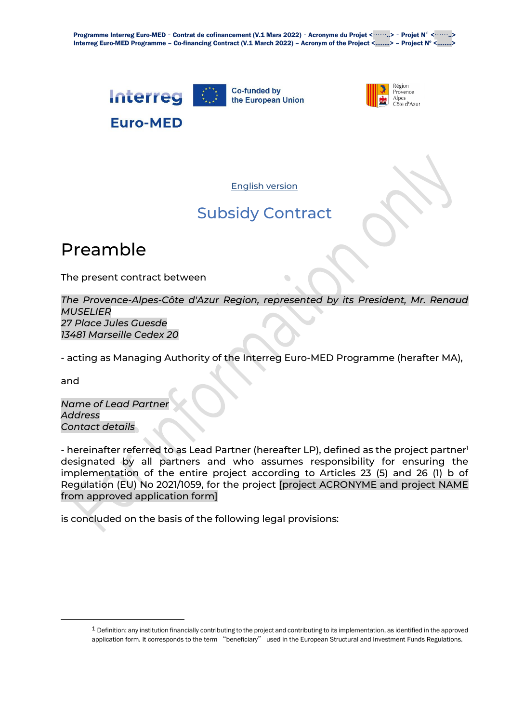Programme Interreg Euro-MED - Contrat de cofinancement (V.1 Mars 2022) - Acronyme du Projet <……..> - Projet Nº <……..> Interreg Euro-MED Programme – Co-financing Contract (V.1 March 2022) – Acronym of the Project <……..> – Project Nº <……..>





English version

### Subsidy Contract

### Preamble

The present contract between

*The Provence-Alpes-Côte d'Azur Region, represented by its President, Mr. Renaud MUSELIER 27 Place Jules Guesde 13481 Marseille Cedex 20*

- acting as Managing Authority of the Interreg Euro-MED Programme (herafter MA),

and

*Name of Lead Partner Address Contact details*

- hereinafter referred to as Lead Partner (hereafter LP), defined as the project partner<sup>1</sup> designated by all partners and who assumes responsibility for ensuring the implementation of the entire project according to Articles 23 (5) and 26 (1) b of Regulation (EU) No 2021/1059, for the project [project ACRONYME and project NAME from approved application form]

is concluded on the basis of the following legal provisions:

<sup>1</sup> Definition: any institution financially contributing to the project and contributing to its implementation, as identified in the approved application form. It corresponds to the term "beneficiary" used in the European Structural and Investment Funds Regulations.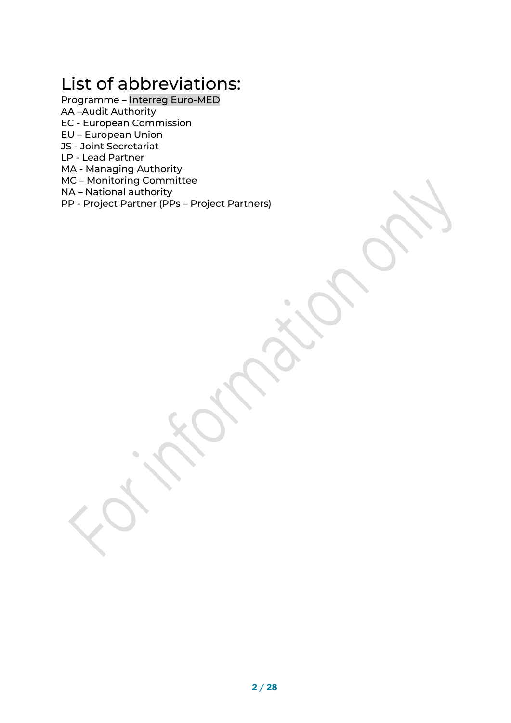# List of abbreviations:

- Programme Interreg Euro-MED
- AA –Audit Authority
- EC European Commission
- EU European Union
- JS Joint Secretariat
- LP Lead Partner
- MA Managing Authority
- MC Monitoring Committee

 $\bigcirc$ 

- NA National authority
- PP Project Partner (PPs Project Partners)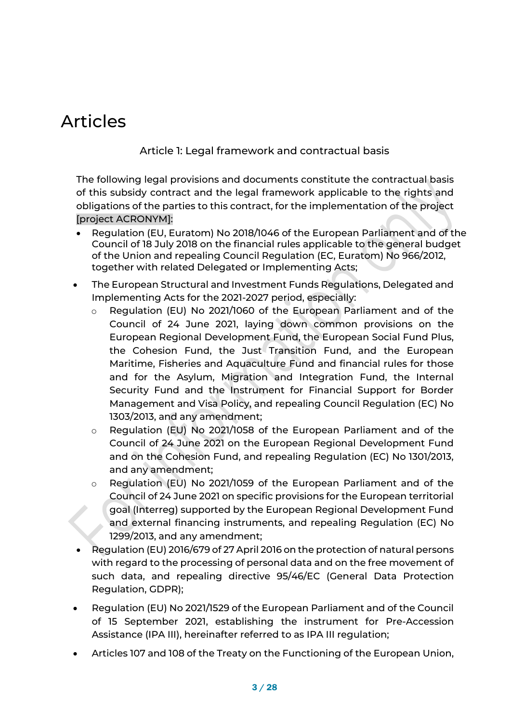## Articles

### Article 1: Legal framework and contractual basis

The following legal provisions and documents constitute the contractual basis of this subsidy contract and the legal framework applicable to the rights and obligations of the parties to this contract, for the implementation of the project [project ACRONYM]:

- Regulation (EU, Euratom) No 2018/1046 of the European Parliament and of the Council of 18 July 2018 on the financial rules applicable to the general budget of the Union and repealing Council Regulation (EC, Euratom) No 966/2012, together with related Delegated or Implementing Acts;
- The European Structural and Investment Funds Regulations, Delegated and Implementing Acts for the 2021-2027 period, especially:
	- o Regulation (EU) No 2021/1060 of the European Parliament and of the Council of 24 June 2021, laying down common provisions on the European Regional Development Fund, the European Social Fund Plus, the Cohesion Fund, the Just Transition Fund, and the European Maritime, Fisheries and Aquaculture Fund and financial rules for those and for the Asylum, Migration and Integration Fund, the Internal Security Fund and the Instrument for Financial Support for Border Management and Visa Policy, and repealing Council Regulation (EC) No 1303/2013, and any amendment;
	- o Regulation (EU) No 2021/1058 of the European Parliament and of the Council of 24 June 2021 on the European Regional Development Fund and on the Cohesion Fund, and repealing Regulation (EC) No 1301/2013, and any amendment;
	- o Regulation (EU) No 2021/1059 of the European Parliament and of the Council of 24 June 2021 on specific provisions for the European territorial goal (Interreg) supported by the European Regional Development Fund and external financing instruments, and repealing Regulation (EC) No 1299/2013, and any amendment;
- Regulation (EU) 2016/679 of 27 April 2016 on the protection of natural persons with regard to the processing of personal data and on the free movement of such data, and repealing directive 95/46/EC (General Data Protection Regulation, GDPR);
- Regulation (EU) No 2021/1529 of the European Parliament and of the Council of 15 September 2021, establishing the instrument for Pre-Accession Assistance (IPA III), hereinafter referred to as IPA III regulation;
- Articles 107 and 108 of the Treaty on the Functioning of the European Union,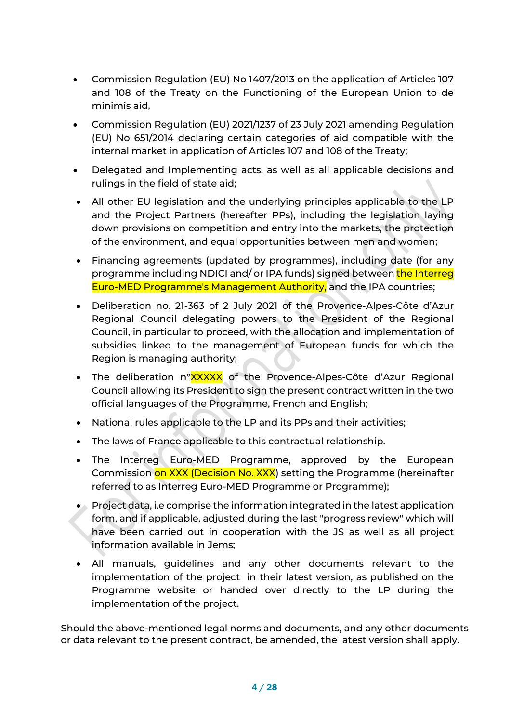- Commission Regulation (EU) No 1407/2013 on the application of Articles 107 and 108 of the Treaty on the Functioning of the European Union to de minimis aid,
- Commission Regulation (EU) 2021/1237 of 23 July 2021 amending Regulation (EU) No 651/2014 declaring certain categories of aid compatible with the internal market in application of Articles 107 and 108 of the Treaty;
- Delegated and Implementing acts, as well as all applicable decisions and rulings in the field of state aid;
- All other EU legislation and the underlying principles applicable to the LP and the Project Partners (hereafter PPs), including the legislation laying down provisions on competition and entry into the markets, the protection of the environment, and equal opportunities between men and women;
- Financing agreements (updated by programmes), including date (for any programme including NDICI and/ or IPA funds) signed between the Interreg Euro-MED Programme's Management Authority, and the IPA countries;
- Deliberation no. 21-363 of 2 July 2021 of the Provence-Alpes-Côte d'Azur Regional Council delegating powers to the President of the Regional Council, in particular to proceed, with the allocation and implementation of subsidies linked to the management of European funds for which the Region is managing authority;
- The deliberation n°XXXXX of the Provence-Alpes-Côte d'Azur Regional Council allowing its President to sign the present contract written in the two official languages of the Programme, French and English;
- National rules applicable to the LP and its PPs and their activities;
- The laws of France applicable to this contractual relationship.
- The Interreg Euro-MED Programme, approved by the European Commission on XXX (Decision No. XXX) setting the Programme (hereinafter referred to as Interreg Euro-MED Programme or Programme);
- Project data, i.e comprise the information integrated in the latest application form, and if applicable, adjusted during the last "progress review" which will have been carried out in cooperation with the JS as well as all project information available in Jems;
- All manuals, guidelines and any other documents relevant to the implementation of the project in their latest version, as published on the Programme website or handed over directly to the LP during the implementation of the project.

Should the above-mentioned legal norms and documents, and any other documents or data relevant to the present contract, be amended, the latest version shall apply.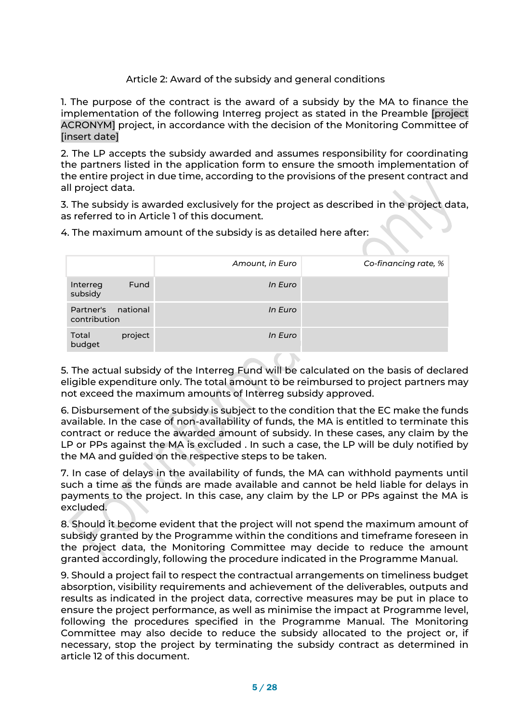### Article 2: Award of the subsidy and general conditions

1. The purpose of the contract is the award of a subsidy by the MA to finance the implementation of the following Interreg project as stated in the Preamble [project ACRONYM] project, in accordance with the decision of the Monitoring Committee of [insert date]

2. The LP accepts the subsidy awarded and assumes responsibility for coordinating the partners listed in the application form to ensure the smooth implementation of the entire project in due time, according to the provisions of the present contract and all project data.

3. The subsidy is awarded exclusively for the project as described in the project data, as referred to in Article 1 of this document.

4. The maximum amount of the subsidy is as detailed here after:

|                                       | Amount, in Euro | Co-financing rate, % |
|---------------------------------------|-----------------|----------------------|
| Fund<br>Interreg<br>subsidy           | In Euro         |                      |
| national<br>Partner's<br>contribution | In Euro         |                      |
| Total<br>project<br>budget            | In Euro         |                      |

5. The actual subsidy of the Interreg Fund will be calculated on the basis of declared eligible expenditure only. The total amount to be reimbursed to project partners may not exceed the maximum amounts of Interreg subsidy approved.

6. Disbursement of the subsidy is subject to the condition that the EC make the funds available. In the case of non-availability of funds, the MA is entitled to terminate this contract or reduce the awarded amount of subsidy. In these cases, any claim by the LP or PPs against the MA is excluded . In such a case, the LP will be duly notified by the MA and guided on the respective steps to be taken.

7. In case of delays in the availability of funds, the MA can withhold payments until such a time as the funds are made available and cannot be held liable for delays in payments to the project. In this case, any claim by the LP or PPs against the MA is excluded.

8. Should it become evident that the project will not spend the maximum amount of subsidy granted by the Programme within the conditions and timeframe foreseen in the project data, the Monitoring Committee may decide to reduce the amount granted accordingly, following the procedure indicated in the Programme Manual.

9. Should a project fail to respect the contractual arrangements on timeliness budget absorption, visibility requirements and achievement of the deliverables, outputs and results as indicated in the project data, corrective measures may be put in place to ensure the project performance, as well as minimise the impact at Programme level, following the procedures specified in the Programme Manual. The Monitoring Committee may also decide to reduce the subsidy allocated to the project or, if necessary, stop the project by terminating the subsidy contract as determined in article 12 of this document.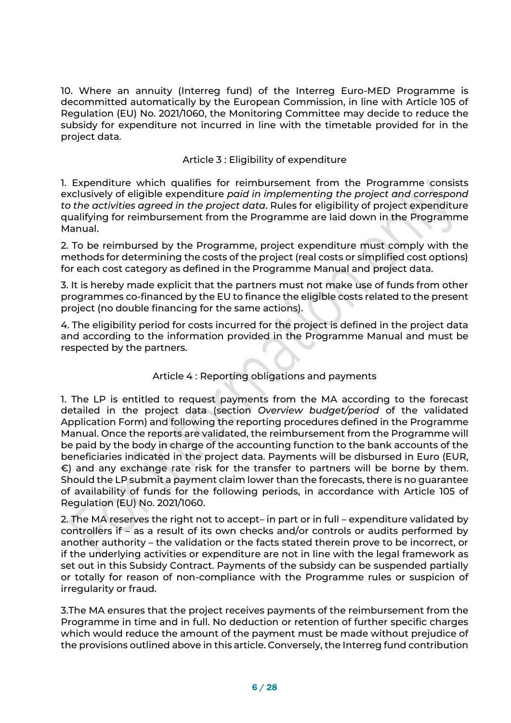10. Where an annuity (Interreg fund) of the Interreg Euro-MED Programme is decommitted automatically by the European Commission, in line with Article 105 of Regulation (EU) No. 2021/1060, the Monitoring Committee may decide to reduce the subsidy for expenditure not incurred in line with the timetable provided for in the project data.

### Article 3 : Eligibility of expenditure

1. Expenditure which qualifies for reimbursement from the Programme consists exclusively of eligible expenditure *paid in implementing the project and correspond to the activities agreed in the project data*. Rules for eligibility of project expenditure qualifying for reimbursement from the Programme are laid down in the Programme Manual.

2. To be reimbursed by the Programme, project expenditure must comply with the methods for determining the costs of the project (real costs or simplified cost options) for each cost category as defined in the Programme Manual and project data.

3. It is hereby made explicit that the partners must not make use of funds from other programmes co-financed by the EU to finance the eligible costs related to the present project (no double financing for the same actions).

4. The eligibility period for costs incurred for the project is defined in the project data and according to the information provided in the Programme Manual and must be respected by the partners.

### Article 4 : Reporting obligations and payments

1. The LP is entitled to request payments from the MA according to the forecast detailed in the project data (section *Overview budget/period* of the validated Application Form) and following the reporting procedures defined in the Programme Manual. Once the reports are validated, the reimbursement from the Programme will be paid by the body in charge of the accounting function to the bank accounts of the beneficiaries indicated in the project data. Payments will be disbursed in Euro (EUR, €) and any exchange rate risk for the transfer to partners will be borne by them. Should the LP submit a payment claim lower than the forecasts, there is no guarantee of availability of funds for the following periods, in accordance with Article 105 of Regulation (EU) No. 2021/1060.

2. The MA reserves the right not to accept– in part or in full – expenditure validated by controllers if – as a result of its own checks and/or controls or audits performed by another authority – the validation or the facts stated therein prove to be incorrect, or if the underlying activities or expenditure are not in line with the legal framework as set out in this Subsidy Contract. Payments of the subsidy can be suspended partially or totally for reason of non-compliance with the Programme rules or suspicion of irregularity or fraud.

3.The MA ensures that the project receives payments of the reimbursement from the Programme in time and in full. No deduction or retention of further specific charges which would reduce the amount of the payment must be made without prejudice of the provisions outlined above in this article. Conversely, the Interreg fund contribution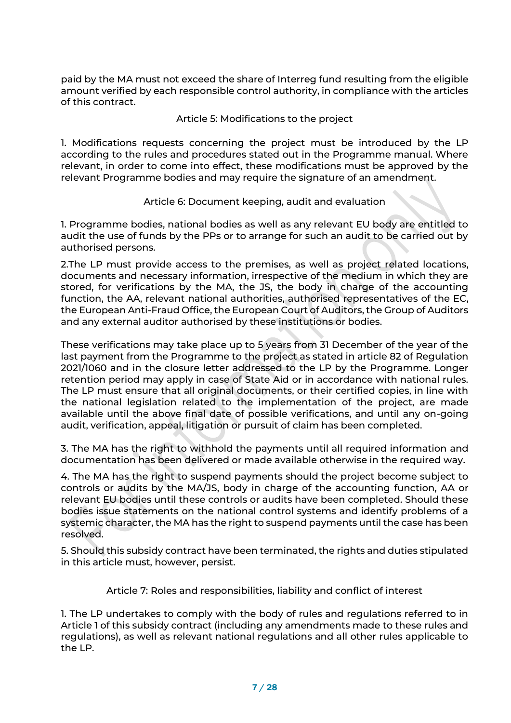paid by the MA must not exceed the share of Interreg fund resulting from the eligible amount verified by each responsible control authority, in compliance with the articles of this contract.

Article 5: Modifications to the project

1. Modifications requests concerning the project must be introduced by the LP according to the rules and procedures stated out in the Programme manual. Where relevant, in order to come into effect, these modifications must be approved by the relevant Programme bodies and may require the signature of an amendment.

Article 6: Document keeping, audit and evaluation

1. Programme bodies, national bodies as well as any relevant EU body are entitled to audit the use of funds by the PPs or to arrange for such an audit to be carried out by authorised persons.

2.The LP must provide access to the premises, as well as project related locations, documents and necessary information, irrespective of the medium in which they are stored, for verifications by the MA, the JS, the body in charge of the accounting function, the AA, relevant national authorities, authorised representatives of the EC, the European Anti-Fraud Office, the European Court of Auditors, the Group of Auditors and any external auditor authorised by these institutions or bodies.

These verifications may take place up to 5 years from 31 December of the year of the last payment from the Programme to the project as stated in article 82 of Regulation 2021/1060 and in the closure letter addressed to the LP by the Programme. Longer retention period may apply in case of State Aid or in accordance with national rules. The LP must ensure that all original documents, or their certified copies, in line with the national legislation related to the implementation of the project, are made available until the above final date of possible verifications, and until any on-going audit, verification, appeal, litigation or pursuit of claim has been completed.

3. The MA has the right to withhold the payments until all required information and documentation has been delivered or made available otherwise in the required way.

4. The MA has the right to suspend payments should the project become subject to controls or audits by the MA/JS, body in charge of the accounting function, AA or relevant EU bodies until these controls or audits have been completed. Should these bodies issue statements on the national control systems and identify problems of a systemic character, the MA has the right to suspend payments until the case has been resolved.

5. Should this subsidy contract have been terminated, the rights and duties stipulated in this article must, however, persist.

Article 7: Roles and responsibilities, liability and conflict of interest

1. The LP undertakes to comply with the body of rules and regulations referred to in Article 1 of this subsidy contract (including any amendments made to these rules and regulations), as well as relevant national regulations and all other rules applicable to the LP.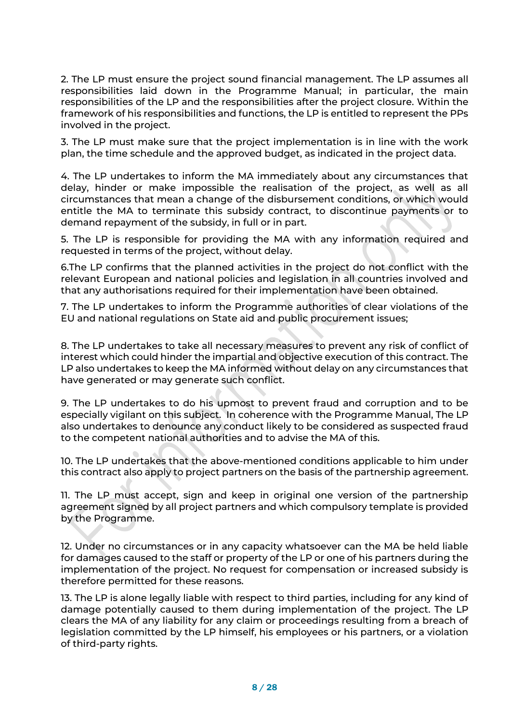2. The LP must ensure the project sound financial management. The LP assumes all responsibilities laid down in the Programme Manual; in particular, the main responsibilities of the LP and the responsibilities after the project closure. Within the framework of his responsibilities and functions, the LP is entitled to represent the PPs involved in the project.

3. The LP must make sure that the project implementation is in line with the work plan, the time schedule and the approved budget, as indicated in the project data.

4. The LP undertakes to inform the MA immediately about any circumstances that delay, hinder or make impossible the realisation of the project, as well as all circumstances that mean a change of the disbursement conditions, or which would entitle the MA to terminate this subsidy contract, to discontinue payments or to demand repayment of the subsidy, in full or in part.

5. The LP is responsible for providing the MA with any information required and requested in terms of the project, without delay.

6.The LP confirms that the planned activities in the project do not conflict with the relevant European and national policies and legislation in all countries involved and that any authorisations required for their implementation have been obtained.

7. The LP undertakes to inform the Programme authorities of clear violations of the EU and national regulations on State aid and public procurement issues;

8. The LP undertakes to take all necessary measures to prevent any risk of conflict of interest which could hinder the impartial and objective execution of this contract. The LP also undertakes to keep the MA informed without delay on any circumstances that have generated or may generate such conflict.

9. The LP undertakes to do his upmost to prevent fraud and corruption and to be especially vigilant on this subject. In coherence with the Programme Manual, The LP also undertakes to denounce any conduct likely to be considered as suspected fraud to the competent national authorities and to advise the MA of this.

10. The LP undertakes that the above-mentioned conditions applicable to him under this contract also apply to project partners on the basis of the partnership agreement.

11. The LP must accept, sign and keep in original one version of the partnership agreement signed by all project partners and which compulsory template is provided by the Programme.

12. Under no circumstances or in any capacity whatsoever can the MA be held liable for damages caused to the staff or property of the LP or one of his partners during the implementation of the project. No request for compensation or increased subsidy is therefore permitted for these reasons.

13. The LP is alone legally liable with respect to third parties, including for any kind of damage potentially caused to them during implementation of the project. The LP clears the MA of any liability for any claim or proceedings resulting from a breach of legislation committed by the LP himself, his employees or his partners, or a violation of third-party rights.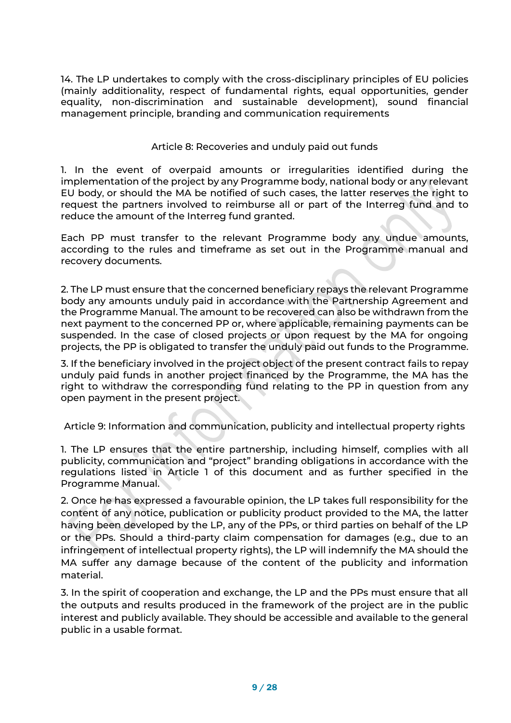14. The LP undertakes to comply with the cross-disciplinary principles of EU policies (mainly additionality, respect of fundamental rights, equal opportunities, gender equality, non-discrimination and sustainable development), sound financial management principle, branding and communication requirements

### Article 8: Recoveries and unduly paid out funds

1. In the event of overpaid amounts or irregularities identified during the implementation of the project by any Programme body, national body or any relevant EU body, or should the MA be notified of such cases, the latter reserves the right to request the partners involved to reimburse all or part of the Interreg fund and to reduce the amount of the Interreg fund granted.

Each PP must transfer to the relevant Programme body any undue amounts, according to the rules and timeframe as set out in the Programme manual and recovery documents.

2. The LP must ensure that the concerned beneficiary repays the relevant Programme body any amounts unduly paid in accordance with the Partnership Agreement and the Programme Manual. The amount to be recovered can also be withdrawn from the next payment to the concerned PP or, where applicable, remaining payments can be suspended. In the case of closed projects or upon request by the MA for ongoing projects, the PP is obligated to transfer the unduly paid out funds to the Programme.

3. If the beneficiary involved in the project object of the present contract fails to repay unduly paid funds in another project financed by the Programme, the MA has the right to withdraw the corresponding fund relating to the PP in question from any open payment in the present project.

Article 9: Information and communication, publicity and intellectual property rights

1. The LP ensures that the entire partnership, including himself, complies with all publicity, communication and "project" branding obligations in accordance with the regulations listed in Article 1 of this document and as further specified in the Programme Manual.

2. Once he has expressed a favourable opinion, the LP takes full responsibility for the content of any notice, publication or publicity product provided to the MA, the latter having been developed by the LP, any of the PPs, or third parties on behalf of the LP or the PPs. Should a third-party claim compensation for damages (e.g., due to an infringement of intellectual property rights), the LP will indemnify the MA should the MA suffer any damage because of the content of the publicity and information material.

3. In the spirit of cooperation and exchange, the LP and the PPs must ensure that all the outputs and results produced in the framework of the project are in the public interest and publicly available. They should be accessible and available to the general public in a usable format.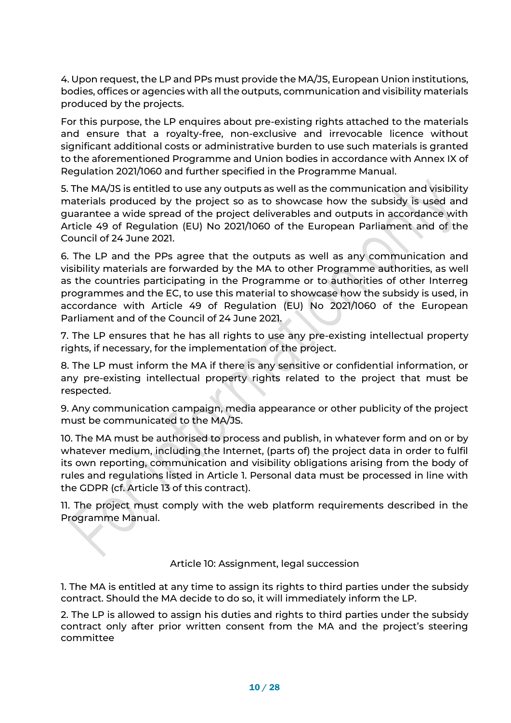4. Upon request, the LP and PPs must provide the MA/JS, European Union institutions, bodies, offices or agencies with all the outputs, communication and visibility materials produced by the projects.

For this purpose, the LP enquires about pre-existing rights attached to the materials and ensure that a royalty-free, non-exclusive and irrevocable licence without significant additional costs or administrative burden to use such materials is granted to the aforementioned Programme and Union bodies in accordance with Annex IX of Regulation 2021/1060 and further specified in the Programme Manual.

5. The MA/JS is entitled to use any outputs as well as the communication and visibility materials produced by the project so as to showcase how the subsidy is used and guarantee a wide spread of the project deliverables and outputs in accordance with Article 49 of Regulation (EU) No 2021/1060 of the European Parliament and of the Council of 24 June 2021.

6. The LP and the PPs agree that the outputs as well as any communication and visibility materials are forwarded by the MA to other Programme authorities, as well as the countries participating in the Programme or to authorities of other Interreg programmes and the EC, to use this material to showcase how the subsidy is used, in accordance with Article 49 of Regulation (EU) No 2021/1060 of the European Parliament and of the Council of 24 June 2021.

7. The LP ensures that he has all rights to use any pre-existing intellectual property rights, if necessary, for the implementation of the project.

8. The LP must inform the MA if there is any sensitive or confidential information, or any pre-existing intellectual property rights related to the project that must be respected.

9. Any communication campaign, media appearance or other publicity of the project must be communicated to the MA/JS.

10. The MA must be authorised to process and publish, in whatever form and on or by whatever medium, including the Internet, (parts of) the project data in order to fulfil its own reporting, communication and visibility obligations arising from the body of rules and regulations listed in Article 1. Personal data must be processed in line with the GDPR (cf. Article 13 of this contract).

11. The project must comply with the web platform requirements described in the Programme Manual.

Article 10: Assignment, legal succession

1. The MA is entitled at any time to assign its rights to third parties under the subsidy contract. Should the MA decide to do so, it will immediately inform the LP.

2. The LP is allowed to assign his duties and rights to third parties under the subsidy contract only after prior written consent from the MA and the project's steering committee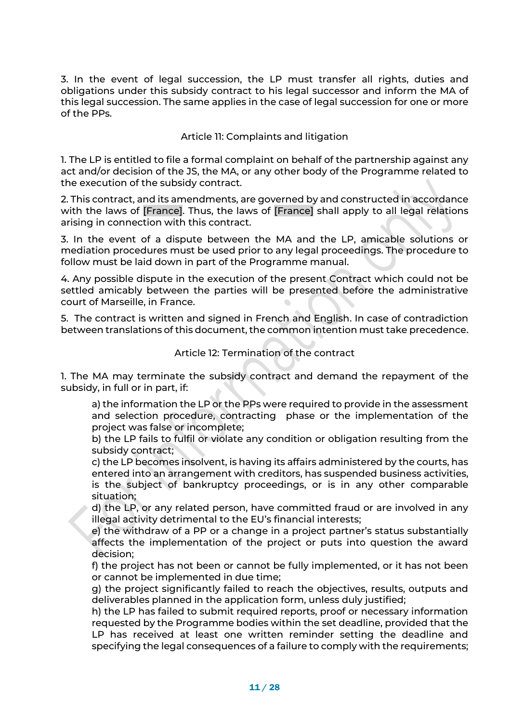3. In the event of legal succession, the LP must transfer all rights, duties and obligations under this subsidy contract to his legal successor and inform the MA of this legal succession. The same applies in the case of legal succession for one or more of the PPs.

Article 11: Complaints and litigation

1. The LP is entitled to file a formal complaint on behalf of the partnership against any act and/or decision of the JS, the MA, or any other body of the Programme related to the execution of the subsidy contract.

2. This contract, and its amendments, are governed by and constructed in accordance with the laws of [France]. Thus, the laws of [France] shall apply to all legal relations arising in connection with this contract.

3. In the event of a dispute between the MA and the LP, amicable solutions or mediation procedures must be used prior to any legal proceedings. The procedure to follow must be laid down in part of the Programme manual.

4. Any possible dispute in the execution of the present Contract which could not be settled amicably between the parties will be presented before the administrative court of Marseille, in France.

5. The contract is written and signed in French and English. In case of contradiction between translations of this document, the common intention must take precedence.

### Article 12: Termination of the contract

1. The MA may terminate the subsidy contract and demand the repayment of the subsidy, in full or in part, if:

a) the information the LP or the PPs were required to provide in the assessment and selection procedure, contracting phase or the implementation of the project was false or incomplete;

b) the LP fails to fulfil or violate any condition or obligation resulting from the subsidy contract;

c) the LP becomes insolvent, is having its affairs administered by the courts, has entered into an arrangement with creditors, has suspended business activities, is the subject of bankruptcy proceedings, or is in any other comparable situation;

d) the LP, or any related person, have committed fraud or are involved in any illegal activity detrimental to the EU's financial interests;

e) the withdraw of a PP or a change in a project partner's status substantially affects the implementation of the project or puts into question the award decision;

f) the project has not been or cannot be fully implemented, or it has not been or cannot be implemented in due time;

g) the project significantly failed to reach the objectives, results, outputs and deliverables planned in the application form, unless duly justified;

h) the LP has failed to submit required reports, proof or necessary information requested by the Programme bodies within the set deadline, provided that the LP has received at least one written reminder setting the deadline and specifying the legal consequences of a failure to comply with the requirements;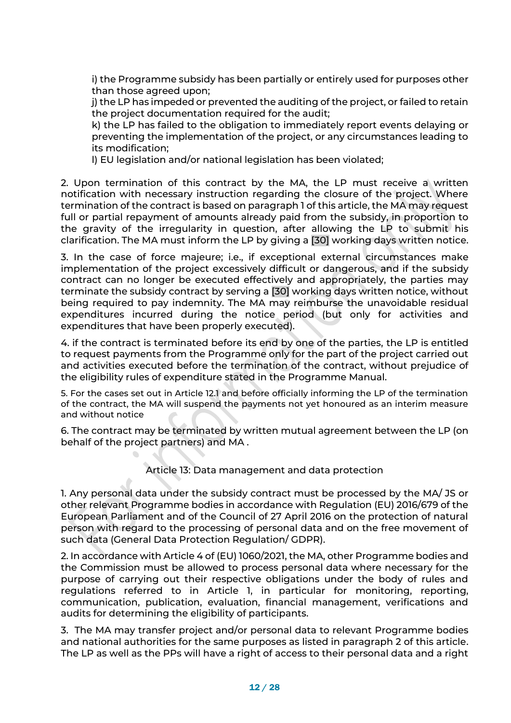i) the Programme subsidy has been partially or entirely used for purposes other than those agreed upon;

j) the LP has impeded or prevented the auditing of the project, or failed to retain the project documentation required for the audit;

k) the LP has failed to the obligation to immediately report events delaying or preventing the implementation of the project, or any circumstances leading to its modification;

l) EU legislation and/or national legislation has been violated;

2. Upon termination of this contract by the MA, the LP must receive a written notification with necessary instruction regarding the closure of the project. Where termination of the contract is based on paragraph 1 of this article, the MA may request full or partial repayment of amounts already paid from the subsidy, in proportion to the gravity of the irregularity in question, after allowing the LP to submit his clarification. The MA must inform the LP by giving a [30] working days written notice.

3. In the case of force majeure; i.e., if exceptional external circumstances make implementation of the project excessively difficult or dangerous, and if the subsidy contract can no longer be executed effectively and appropriately, the parties may terminate the subsidy contract by serving a [30] working days written notice, without being required to pay indemnity. The MA may reimburse the unavoidable residual expenditures incurred during the notice period (but only for activities and expenditures that have been properly executed).

4. if the contract is terminated before its end by one of the parties, the LP is entitled to request payments from the Programme only for the part of the project carried out and activities executed before the termination of the contract, without prejudice of the eligibility rules of expenditure stated in the Programme Manual.

5. For the cases set out in Article 12.1 and before officially informing the LP of the termination of the contract, the MA will suspend the payments not yet honoured as an interim measure and without notice

6. The contract may be terminated by written mutual agreement between the LP (on behalf of the project partners) and MA .

Article 13: Data management and data protection

1. Any personal data under the subsidy contract must be processed by the MA/ JS or other relevant Programme bodies in accordance with Regulation (EU) 2016/679 of the European Parliament and of the Council of 27 April 2016 on the protection of natural person with regard to the processing of personal data and on the free movement of such data (General Data Protection Regulation/ GDPR).

2. In accordance with Article 4 of (EU) 1060/2021, the MA, other Programme bodies and the Commission must be allowed to process personal data where necessary for the purpose of carrying out their respective obligations under the body of rules and regulations referred to in Article 1, in particular for monitoring, reporting, communication, publication, evaluation, financial management, verifications and audits for determining the eligibility of participants.

3. The MA may transfer project and/or personal data to relevant Programme bodies and national authorities for the same purposes as listed in paragraph 2 of this article. The LP as well as the PPs will have a right of access to their personal data and a right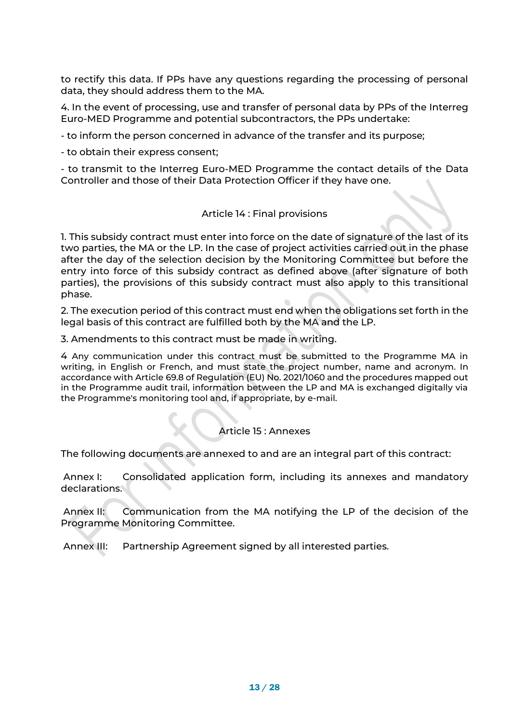to rectify this data. If PPs have any questions regarding the processing of personal data, they should address them to the MA.

4. In the event of processing, use and transfer of personal data by PPs of the Interreg Euro-MED Programme and potential subcontractors, the PPs undertake:

- to inform the person concerned in advance of the transfer and its purpose;

- to obtain their express consent;

- to transmit to the Interreg Euro-MED Programme the contact details of the Data Controller and those of their Data Protection Officer if they have one.

### Article 14 : Final provisions

1. This subsidy contract must enter into force on the date of signature of the last of its two parties, the MA or the LP. In the case of project activities carried out in the phase after the day of the selection decision by the Monitoring Committee but before the entry into force of this subsidy contract as defined above (after signature of both parties), the provisions of this subsidy contract must also apply to this transitional phase.

2. The execution period of this contract must end when the obligations set forth in the legal basis of this contract are fulfilled both by the MA and the LP.

3. Amendments to this contract must be made in writing.

4 Any communication under this contract must be submitted to the Programme MA in writing, in English or French, and must state the project number, name and acronym. In accordance with Article 69.8 of Regulation (EU) No. 2021/1060 and the procedures mapped out in the Programme audit trail, information between the LP and MA is exchanged digitally via the Programme's monitoring tool and, if appropriate, by e-mail.

### Article 15 : Annexes

The following documents are annexed to and are an integral part of this contract:

Annex I: Consolidated application form, including its annexes and mandatory declarations.

Annex II: Communication from the MA notifying the LP of the decision of the Programme Monitoring Committee.

Annex III: Partnership Agreement signed by all interested parties.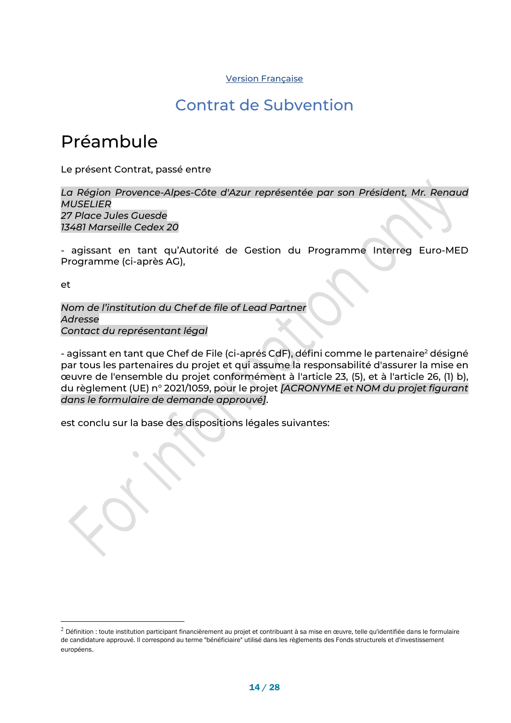#### Version Française

### Contrat de Subvention

### Préambule

Le présent Contrat, passé entre

*La Région Provence-Alpes-Côte d'Azur représentée par son Président, Mr. Renaud MUSELIER 27 Place Jules Guesde 13481 Marseille Cedex 20*

- agissant en tant qu'Autorité de Gestion du Programme Interreg Euro-MED Programme (ci-après AG),

et

*Nom de l'institution du Chef de file of Lead Partner Adresse Contact du représentant légal*

- agissant en tant que Chef de File (ci-aprés CdF), défini comme le partenaire<sup>2</sup> désigné par tous les partenaires du projet et qui assume la responsabilité d'assurer la mise en œuvre de l'ensemble du projet conformément à l'article 23, (5), et à l'article 26, (1) b), du règlement (UE) n° 2021/1059, pour le projet *[ACRONYME et NOM du projet figurant dans le formulaire de demande approuvé]*.

est conclu sur la base des dispositions légales suivantes:

 $2$  Définition : toute institution participant financièrement au projet et contribuant à sa mise en œuvre, telle qu'identifiée dans le formulaire de candidature approuvé. Il correspond au terme "bénéficiaire" utilisé dans les règlements des Fonds structurels et d'investissement européens.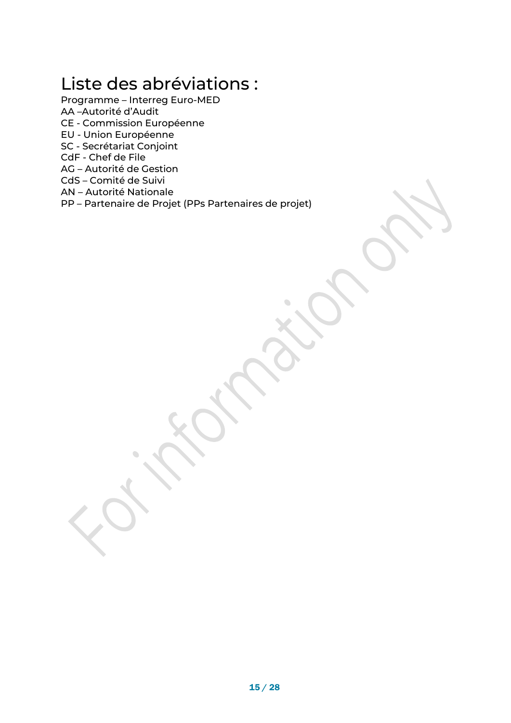## Liste des abréviations :

- Programme Interreg Euro-MED AA –Autorité d'Audit
- CE Commission Européenne
- EU Union Européenne
- SC Secrétariat Conjoint
- CdF Chef de File
- AG Autorité de Gestion
- CdS Comité de Suivi
- AN Autorité Nationale

 $\bigcirc$ 

PP – Partenaire de Projet (PPs Partenaires de projet)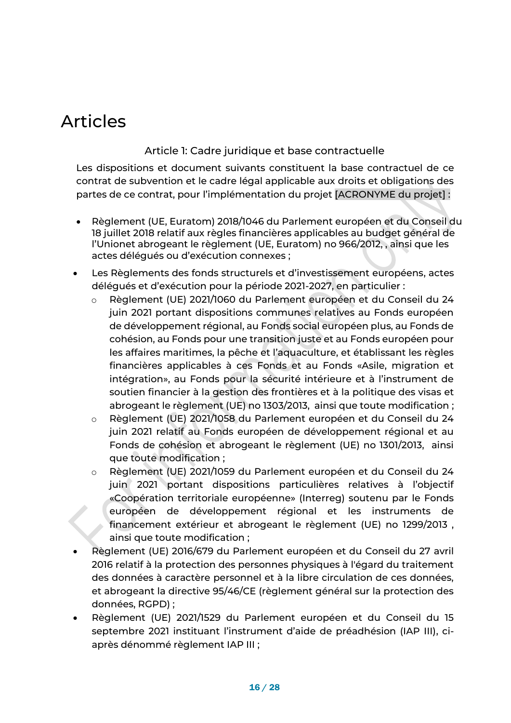## Articles

Article 1: Cadre juridique et base contractuelle

Les dispositions et document suivants constituent la base contractuel de ce contrat de subvention et le cadre légal applicable aux droits et obligations des partes de ce contrat, pour l'implémentation du projet [ACRONYME du projet] :

- Règlement (UE, Euratom) 2018/1046 du Parlement européen et du Conseil du 18 juillet 2018 relatif aux règles financières applicables au budget général de l'Unionet abrogeant le règlement (UE, Euratom) no 966/2012, , ainsi que les actes délégués ou d'exécution connexes ;
- Les Règlements des fonds structurels et d'investissement européens, actes délégués et d'exécution pour la période 2021-2027, en particulier :
	- o Règlement (UE) 2021/1060 du Parlement européen et du Conseil du 24 juin 2021 portant dispositions communes relatives au Fonds européen de développement régional, au Fonds social européen plus, au Fonds de cohésion, au Fonds pour une transition juste et au Fonds européen pour les affaires maritimes, la pêche et l'aquaculture, et établissant les règles financières applicables à ces Fonds et au Fonds «Asile, migration et intégration», au Fonds pour la sécurité intérieure et à l'instrument de soutien financier à la gestion des frontières et à la politique des visas et abrogeant le règlement (UE) no 1303/2013, ainsi que toute modification ;
	- o Règlement (UE) 2021/1058 du Parlement européen et du Conseil du 24 juin 2021 relatif au Fonds européen de développement régional et au Fonds de cohésion et abrogeant le règlement (UE) no 1301/2013, ainsi que toute modification ;
	- o Règlement (UE) 2021/1059 du Parlement européen et du Conseil du 24 juin 2021 portant dispositions particulières relatives à l'objectif «Coopération territoriale européenne» (Interreg) soutenu par le Fonds européen de développement régional et les instruments de financement extérieur et abrogeant le règlement (UE) no 1299/2013 , ainsi que toute modification ;
- Règlement (UE) 2016/679 du Parlement européen et du Conseil du 27 avril 2016 relatif à la protection des personnes physiques à l'égard du traitement des données à caractère personnel et à la libre circulation de ces données, et abrogeant la directive 95/46/CE (règlement général sur la protection des données, RGPD) ;
- Règlement (UE) 2021/1529 du Parlement européen et du Conseil du 15 septembre 2021 instituant l'instrument d'aide de préadhésion (IAP III), ciaprès dénommé règlement IAP III ;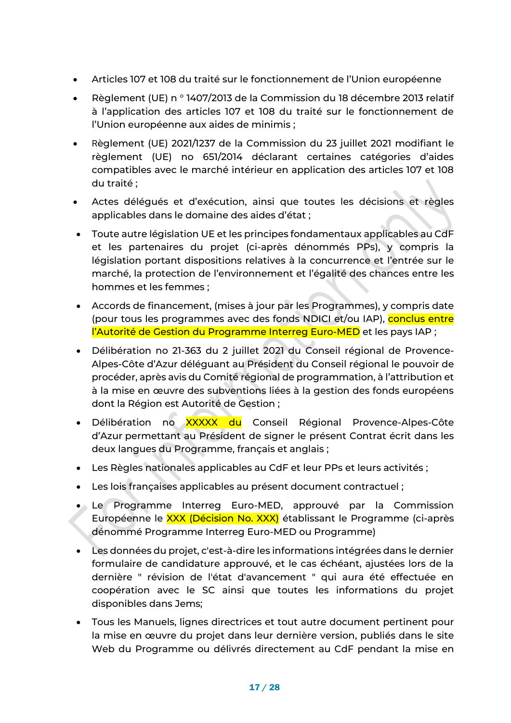- Articles 107 et 108 du traité sur le fonctionnement de l'Union européenne
- Règlement (UE) n ° 1407/2013 de la Commission du 18 décembre 2013 relatif à l'application des articles 107 et 108 du traité sur le fonctionnement de l'Union européenne aux aides de minimis ;
- Règlement (UE) 2021/1237 de la Commission du 23 juillet 2021 modifiant le règlement (UE) no 651/2014 déclarant certaines catégories d'aides compatibles avec le marché intérieur en application des articles 107 et 108 du traité ;
- Actes délégués et d'exécution, ainsi que toutes les décisions et règles applicables dans le domaine des aides d'état ;
- Toute autre législation UE et les principes fondamentaux applicables au CdF et les partenaires du projet (ci-après dénommés PPs), y compris la législation portant dispositions relatives à la concurrence et l'entrée sur le marché, la protection de l'environnement et l'égalité des chances entre les hommes et les femmes ;
- Accords de financement, (mises à jour par les Programmes), y compris date (pour tous les programmes avec des fonds NDICI et/ou IAP), conclus entre l'Autorité de Gestion du Programme Interreg Euro-MED et les pays IAP ;
- Délibération no 21-363 du 2 juillet 2021 du Conseil régional de Provence-Alpes-Côte d'Azur déléguant au Président du Conseil régional le pouvoir de procéder, après avis du Comité régional de programmation, à l'attribution et à la mise en œuvre des subventions liées à la gestion des fonds européens dont la Région est Autorité de Gestion ;
- Délibération no XXXXX du Conseil Régional Provence-Alpes-Côte d'Azur permettant au Président de signer le présent Contrat écrit dans les deux langues du Programme, français et anglais ;
- Les Règles nationales applicables au CdF et leur PPs et leurs activités ;
- Les lois françaises applicables au présent document contractuel ;
- Le Programme Interreg Euro-MED, approuvé par la Commission Européenne le XXX (Décision No. XXX) établissant le Programme (ci-après dénommé Programme Interreg Euro-MED ou Programme)
- Les données du projet, c'est-à-dire les informations intégrées dans le dernier formulaire de candidature approuvé, et le cas échéant, ajustées lors de la dernière " révision de l'état d'avancement " qui aura été effectuée en coopération avec le SC ainsi que toutes les informations du projet disponibles dans Jems;
- Tous les Manuels, lignes directrices et tout autre document pertinent pour la mise en œuvre du projet dans leur dernière version, publiés dans le site Web du Programme ou délivrés directement au CdF pendant la mise en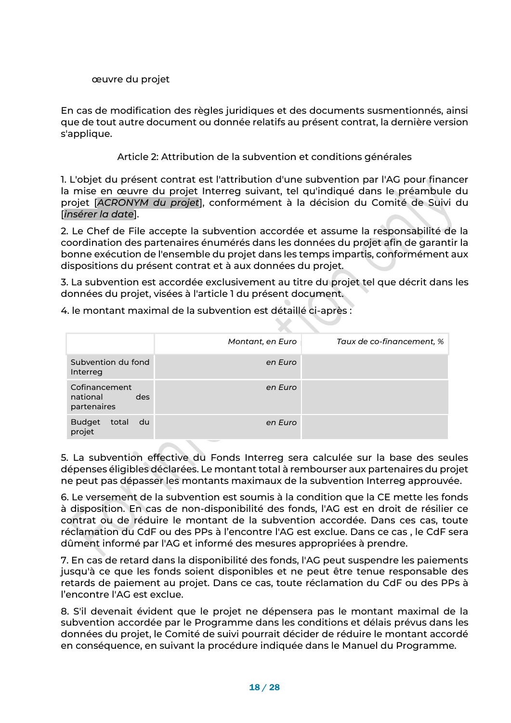### œuvre du projet

En cas de modification des règles juridiques et des documents susmentionnés, ainsi que de tout autre document ou donnée relatifs au présent contrat, la dernière version s'applique.

Article 2: Attribution de la subvention et conditions générales

1. L'objet du présent contrat est l'attribution d'une subvention par l'AG pour financer la mise en œuvre du projet Interreg suivant, tel qu'indiqué dans le préambule du projet [*ACRONYM du projet*], conformément à la décision du Comité de Suivi du [*insérer la date*].

2. Le Chef de File accepte la subvention accordée et assume la responsabilité de la coordination des partenaires énumérés dans les données du projet afin de garantir la bonne exécution de l'ensemble du projet dans les temps impartis, conformément aux dispositions du présent contrat et à aux données du projet.

3. La subvention est accordée exclusivement au titre du projet tel que décrit dans les données du projet, visées à l'article 1 du présent document.

4. le montant maximal de la subvention est détaillé ci-après :

|                                                 | Montant, en Euro | Taux de co-financement, % |
|-------------------------------------------------|------------------|---------------------------|
| Subvention du fond<br>Interreg                  | en Euro          |                           |
| Cofinancement<br>national<br>des<br>partenaires | en Euro          |                           |
| total<br>du d<br><b>Budget</b><br>projet        | en Euro          |                           |

5. La subvention effective du Fonds Interreg sera calculée sur la base des seules dépenses éligibles déclarées. Le montant total à rembourser aux partenaires du projet ne peut pas dépasser les montants maximaux de la subvention Interreg approuvée.

6. Le versement de la subvention est soumis à la condition que la CE mette les fonds à disposition. En cas de non-disponibilité des fonds, l'AG est en droit de résilier ce contrat ou de réduire le montant de la subvention accordée. Dans ces cas, toute réclamation du CdF ou des PPs à l'encontre l'AG est exclue. Dans ce cas , le CdF sera dûment informé par l'AG et informé des mesures appropriées à prendre.

7. En cas de retard dans la disponibilité des fonds, l'AG peut suspendre les paiements jusqu'à ce que les fonds soient disponibles et ne peut être tenue responsable des retards de paiement au projet. Dans ce cas, toute réclamation du CdF ou des PPs à l'encontre l'AG est exclue.

8. S'il devenait évident que le projet ne dépensera pas le montant maximal de la subvention accordée par le Programme dans les conditions et délais prévus dans les données du projet, le Comité de suivi pourrait décider de réduire le montant accordé en conséquence, en suivant la procédure indiquée dans le Manuel du Programme.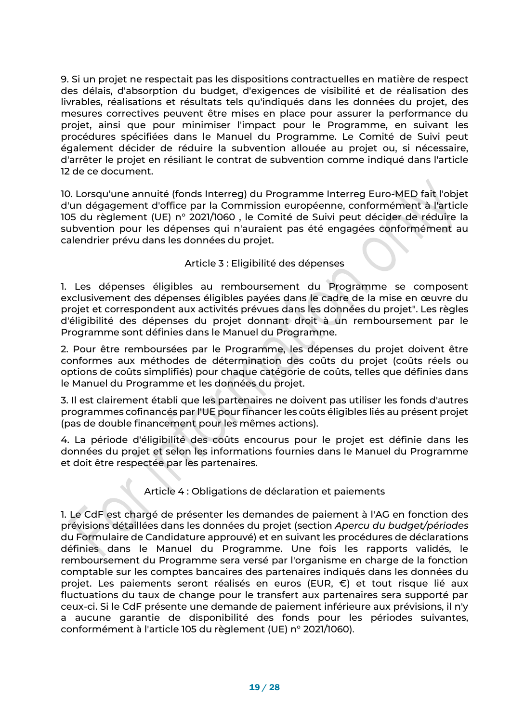9. Si un projet ne respectait pas les dispositions contractuelles en matière de respect des délais, d'absorption du budget, d'exigences de visibilité et de réalisation des livrables, réalisations et résultats tels qu'indiqués dans les données du projet, des mesures correctives peuvent être mises en place pour assurer la performance du projet, ainsi que pour minimiser l'impact pour le Programme, en suivant les procédures spécifiées dans le Manuel du Programme. Le Comité de Suivi peut également décider de réduire la subvention allouée au projet ou, si nécessaire, d'arrêter le projet en résiliant le contrat de subvention comme indiqué dans l'article 12 de ce document.

10. Lorsqu'une annuité (fonds Interreg) du Programme Interreg Euro-MED fait l'objet d'un dégagement d'office par la Commission européenne, conformément à l'article 105 du règlement (UE) n° 2021/1060 , le Comité de Suivi peut décider de réduire la subvention pour les dépenses qui n'auraient pas été engagées conformément au calendrier prévu dans les données du projet.

### Article 3 : Eligibilité des dépenses

1. Les dépenses éligibles au remboursement du Programme se composent exclusivement des dépenses éligibles payées dans le cadre de la mise en œuvre du projet et correspondent aux activités prévues dans les données du projet". Les règles d'éligibilité des dépenses du projet donnant droit à un remboursement par le Programme sont définies dans le Manuel du Programme.

2. Pour être remboursées par le Programme, les dépenses du projet doivent être conformes aux méthodes de détermination des coûts du projet (coûts réels ou options de coûts simplifiés) pour chaque catégorie de coûts, telles que définies dans le Manuel du Programme et les données du projet.

3. Il est clairement établi que les partenaires ne doivent pas utiliser les fonds d'autres programmes cofinancés par l'UE pour financer les coûts éligibles liés au présent projet (pas de double financement pour les mêmes actions).

4. La période d'éligibilité des coûts encourus pour le projet est définie dans les données du projet et selon les informations fournies dans le Manuel du Programme et doit être respectée par les partenaires.

### Article 4 : Obligations de déclaration et paiements

1. Le CdF est chargé de présenter les demandes de paiement à l'AG en fonction des prévisions détaillées dans les données du projet (section *Apercu du budget/périodes* du Formulaire de Candidature approuvé) et en suivant les procédures de déclarations définies dans le Manuel du Programme. Une fois les rapports validés, le remboursement du Programme sera versé par l'organisme en charge de la fonction comptable sur les comptes bancaires des partenaires indiqués dans les données du projet. Les paiements seront réalisés en euros (EUR, €) et tout risque lié aux fluctuations du taux de change pour le transfert aux partenaires sera supporté par ceux-ci. Si le CdF présente une demande de paiement inférieure aux prévisions, il n'y a aucune garantie de disponibilité des fonds pour les périodes suivantes, conformément à l'article 105 du règlement (UE) n° 2021/1060).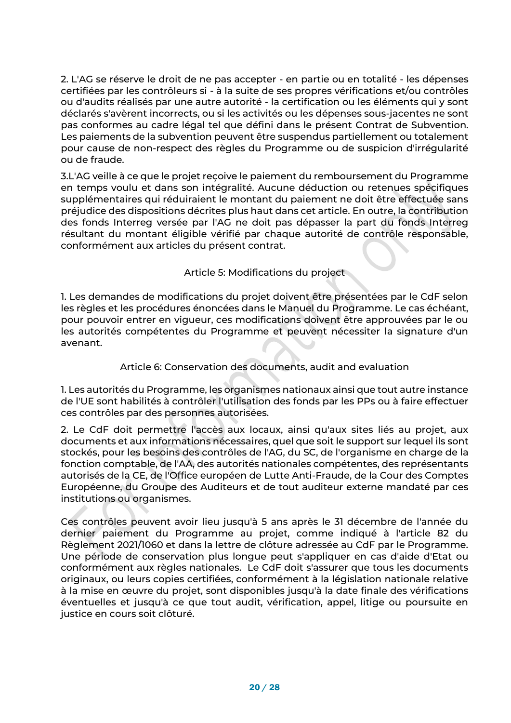2. L'AG se réserve le droit de ne pas accepter - en partie ou en totalité - les dépenses certifiées par les contrôleurs si - à la suite de ses propres vérifications et/ou contrôles ou d'audits réalisés par une autre autorité - la certification ou les éléments qui y sont déclarés s'avèrent incorrects, ou si les activités ou les dépenses sous-jacentes ne sont pas conformes au cadre légal tel que défini dans le présent Contrat de Subvention. Les paiements de la subvention peuvent être suspendus partiellement ou totalement pour cause de non-respect des règles du Programme ou de suspicion d'irrégularité ou de fraude.

3.L'AG veille à ce que le projet reçoive le paiement du remboursement du Programme en temps voulu et dans son intégralité. Aucune déduction ou retenues spécifiques supplémentaires qui réduiraient le montant du paiement ne doit être effectuée sans préjudice des dispositions décrites plus haut dans cet article. En outre, la contribution des fonds Interreg versée par l'AG ne doit pas dépasser la part du fonds Interreg résultant du montant éligible vérifié par chaque autorité de contrôle responsable, conformément aux articles du présent contrat.

Article 5: Modifications du project

1. Les demandes de modifications du projet doivent être présentées par le CdF selon les règles et les procédures énoncées dans le Manuel du Programme. Le cas échéant, pour pouvoir entrer en vigueur, ces modifications doivent être approuvées par le ou les autorités compétentes du Programme et peuvent nécessiter la signature d'un avenant.

### Article 6: Conservation des documents, audit and evaluation

1. Les autorités du Programme, les organismes nationaux ainsi que tout autre instance de l'UE sont habilités à contrôler l'utilisation des fonds par les PPs ou à faire effectuer ces contrôles par des personnes autorisées.

2. Le CdF doit permettre l'accès aux locaux, ainsi qu'aux sites liés au projet, aux documents et aux informations nécessaires, quel que soit le support sur lequel ils sont stockés, pour les besoins des contrôles de l'AG, du SC, de l'organisme en charge de la fonction comptable, de l'AA, des autorités nationales compétentes, des représentants autorisés de la CE, de l'Office européen de Lutte Anti-Fraude, de la Cour des Comptes Européenne, du Groupe des Auditeurs et de tout auditeur externe mandaté par ces institutions ou organismes.

Ces contrôles peuvent avoir lieu jusqu'à 5 ans après le 31 décembre de l'année du dernier paiement du Programme au projet, comme indiqué à l'article 82 du Règlement 2021/1060 et dans la lettre de clôture adressée au CdF par le Programme. Une période de conservation plus longue peut s'appliquer en cas d'aide d'Etat ou conformément aux règles nationales. Le CdF doit s'assurer que tous les documents originaux, ou leurs copies certifiées, conformément à la législation nationale relative à la mise en œuvre du projet, sont disponibles jusqu'à la date finale des vérifications éventuelles et jusqu'à ce que tout audit, vérification, appel, litige ou poursuite en justice en cours soit clôturé.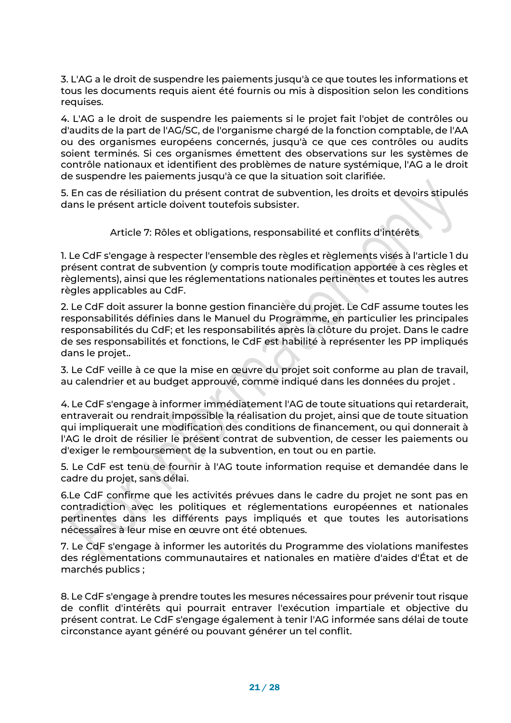3. L'AG a le droit de suspendre les paiements jusqu'à ce que toutes les informations et tous les documents requis aient été fournis ou mis à disposition selon les conditions requises.

4. L'AG a le droit de suspendre les paiements si le projet fait l'objet de contrôles ou d'audits de la part de l'AG/SC, de l'organisme chargé de la fonction comptable, de l'AA ou des organismes européens concernés, jusqu'à ce que ces contrôles ou audits soient terminés. Si ces organismes émettent des observations sur les systèmes de contrôle nationaux et identifient des problèmes de nature systémique, l'AG a le droit de suspendre les paiements jusqu'à ce que la situation soit clarifiée.

5. En cas de résiliation du présent contrat de subvention, les droits et devoirs stipulés dans le présent article doivent toutefois subsister.

Article 7: Rôles et obligations, responsabilité et conflits d'intérêts

1. Le CdF s'engage à respecter l'ensemble des règles et règlements visés à l'article 1 du présent contrat de subvention (y compris toute modification apportée à ces règles et règlements), ainsi que les réglementations nationales pertinentes et toutes les autres règles applicables au CdF.

2. Le CdF doit assurer la bonne gestion financière du projet. Le CdF assume toutes les responsabilités définies dans le Manuel du Programme, en particulier les principales responsabilités du CdF; et les responsabilités après la clôture du projet. Dans le cadre de ses responsabilités et fonctions, le CdF est habilité à représenter les PP impliqués dans le projet..

3. Le CdF veille à ce que la mise en œuvre du projet soit conforme au plan de travail, au calendrier et au budget approuvé, comme indiqué dans les données du projet .

4. Le CdF s'engage à informer immédiatement l'AG de toute situations qui retarderait, entraverait ou rendrait impossible la réalisation du projet, ainsi que de toute situation qui impliquerait une modification des conditions de financement, ou qui donnerait à l'AG le droit de résilier le présent contrat de subvention, de cesser les paiements ou d'exiger le remboursement de la subvention, en tout ou en partie.

5. Le CdF est tenu de fournir à l'AG toute information requise et demandée dans le cadre du projet, sans délai.

6.Le CdF confirme que les activités prévues dans le cadre du projet ne sont pas en contradiction avec les politiques et réglementations européennes et nationales pertinentes dans les différents pays impliqués et que toutes les autorisations nécessaires à leur mise en œuvre ont été obtenues.

7. Le CdF s'engage à informer les autorités du Programme des violations manifestes des réglementations communautaires et nationales en matière d'aides d'État et de marchés publics ;

8. Le CdF s'engage à prendre toutes les mesures nécessaires pour prévenir tout risque de conflit d'intérêts qui pourrait entraver l'exécution impartiale et objective du présent contrat. Le CdF s'engage également à tenir l'AG informée sans délai de toute circonstance ayant généré ou pouvant générer un tel conflit.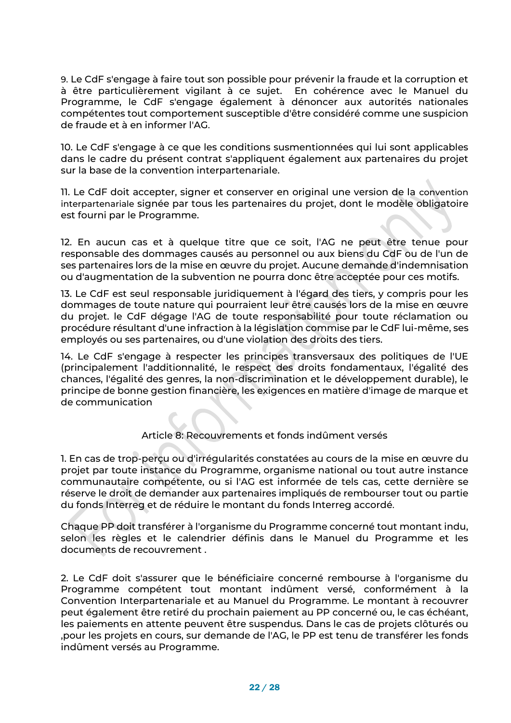9. Le CdF s'engage à faire tout son possible pour prévenir la fraude et la corruption et à être particulièrement vigilant à ce sujet. En cohérence avec le Manuel du Programme, le CdF s'engage également à dénoncer aux autorités nationales compétentes tout comportement susceptible d'être considéré comme une suspicion de fraude et à en informer l'AG.

10. Le CdF s'engage à ce que les conditions susmentionnées qui lui sont applicables dans le cadre du présent contrat s'appliquent également aux partenaires du projet sur la base de la convention interpartenariale.

11. Le CdF doit accepter, signer et conserver en original une version de la convention interpartenariale signée par tous les partenaires du projet, dont le modèle obligatoire est fourni par le Programme.

12. En aucun cas et à quelque titre que ce soit, l'AG ne peut être tenue pour responsable des dommages causés au personnel ou aux biens du CdF ou de l'un de ses partenaires lors de la mise en œuvre du projet. Aucune demande d'indemnisation ou d'augmentation de la subvention ne pourra donc être acceptée pour ces motifs.

13. Le CdF est seul responsable juridiquement à l'égard des tiers, y compris pour les dommages de toute nature qui pourraient leur être causés lors de la mise en œuvre du projet. le CdF dégage l'AG de toute responsabilité pour toute réclamation ou procédure résultant d'une infraction à la législation commise par le CdF lui-même, ses employés ou ses partenaires, ou d'une violation des droits des tiers.

14. Le CdF s'engage à respecter les principes transversaux des politiques de l'UE (principalement l'additionnalité, le respect des droits fondamentaux, l'égalité des chances, l'égalité des genres, la non-discrimination et le développement durable), le principe de bonne gestion financière, les exigences en matière d'image de marque et de communication

### Article 8: Recouvrements et fonds indûment versés

1. En cas de trop-perçu ou d'irrégularités constatées au cours de la mise en œuvre du projet par toute instance du Programme, organisme national ou tout autre instance communautaire compétente, ou si l'AG est informée de tels cas, cette dernière se réserve le droit de demander aux partenaires impliqués de rembourser tout ou partie du fonds Interreg et de réduire le montant du fonds Interreg accordé.

Chaque PP doit transférer à l'organisme du Programme concerné tout montant indu, selon les règles et le calendrier définis dans le Manuel du Programme et les documents de recouvrement .

2. Le CdF doit s'assurer que le bénéficiaire concerné rembourse à l'organisme du Programme compétent tout montant indûment versé, conformément à la Convention Interpartenariale et au Manuel du Programme. Le montant à recouvrer peut également être retiré du prochain paiement au PP concerné ou, le cas échéant, les paiements en attente peuvent être suspendus. Dans le cas de projets clôturés ou ,pour les projets en cours, sur demande de l'AG, le PP est tenu de transférer les fonds indûment versés au Programme.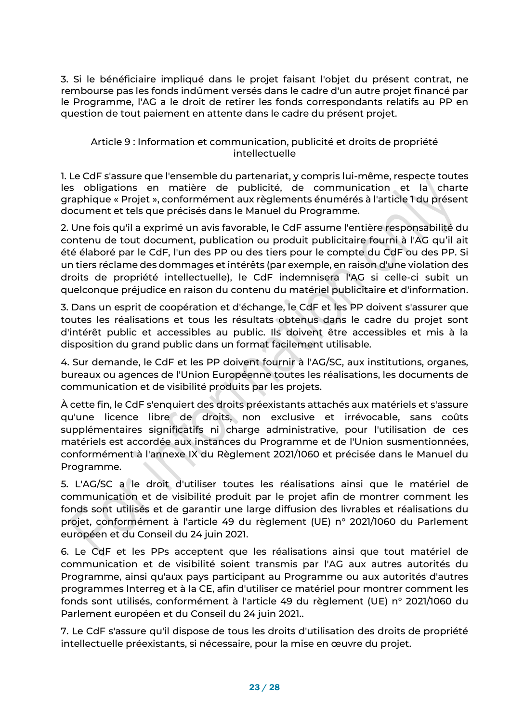3. Si le bénéficiaire impliqué dans le projet faisant l'objet du présent contrat, ne rembourse pas les fonds indûment versés dans le cadre d'un autre projet financé par le Programme, l'AG a le droit de retirer les fonds correspondants relatifs au PP en question de tout paiement en attente dans le cadre du présent projet.

### Article 9 : Information et communication, publicité et droits de propriété intellectuelle

1. Le CdF s'assure que l'ensemble du partenariat, y compris lui-même, respecte toutes les obligations en matière de publicité, de communication et la charte graphique « Projet », conformément aux règlements énumérés à l'article 1 du présent document et tels que précisés dans le Manuel du Programme.

2. Une fois qu'il a exprimé un avis favorable, le CdF assume l'entière responsabilité du contenu de tout document, publication ou produit publicitaire fourni à l'AG qu'il ait été élaboré par le CdF, l'un des PP ou des tiers pour le compte du CdF ou des PP. Si un tiers réclame des dommages et intérêts (par exemple, en raison d'une violation des droits de propriété intellectuelle), le CdF indemnisera l'AG si celle-ci subit un quelconque préjudice en raison du contenu du matériel publicitaire et d'information.

3. Dans un esprit de coopération et d'échange, le CdF et les PP doivent s'assurer que toutes les réalisations et tous les résultats obtenus dans le cadre du projet sont d'intérêt public et accessibles au public. Ils doivent être accessibles et mis à la disposition du grand public dans un format facilement utilisable.

4. Sur demande, le CdF et les PP doivent fournir à l'AG/SC, aux institutions, organes, bureaux ou agences de l'Union Européenne toutes les réalisations, les documents de communication et de visibilité produits par les projets.

À cette fin, le CdF s'enquiert des droits préexistants attachés aux matériels et s'assure qu'une licence libre de droits, non exclusive et irrévocable, sans coûts supplémentaires significatifs ni charge administrative, pour l'utilisation de ces matériels est accordée aux instances du Programme et de l'Union susmentionnées, conformément à l'annexe IX du Règlement 2021/1060 et précisée dans le Manuel du Programme.

5. L'AG/SC a le droit d'utiliser toutes les réalisations ainsi que le matériel de communication et de visibilité produit par le projet afin de montrer comment les fonds sont utilisés et de garantir une large diffusion des livrables et réalisations du projet, conformément à l'article 49 du règlement (UE) n° 2021/1060 du Parlement européen et du Conseil du 24 juin 2021.

6. Le CdF et les PPs acceptent que les réalisations ainsi que tout matériel de communication et de visibilité soient transmis par l'AG aux autres autorités du Programme, ainsi qu'aux pays participant au Programme ou aux autorités d'autres programmes Interreg et à la CE, afin d'utiliser ce matériel pour montrer comment les fonds sont utilisés, conformément à l'article 49 du règlement (UE) n° 2021/1060 du Parlement européen et du Conseil du 24 juin 2021..

7. Le CdF s'assure qu'il dispose de tous les droits d'utilisation des droits de propriété intellectuelle préexistants, si nécessaire, pour la mise en œuvre du projet.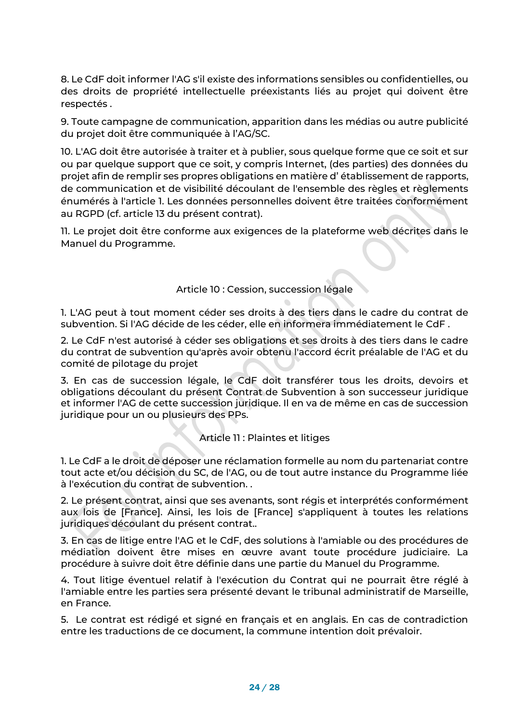8. Le CdF doit informer l'AG s'il existe des informations sensibles ou confidentielles, ou des droits de propriété intellectuelle préexistants liés au projet qui doivent être respectés .

9. Toute campagne de communication, apparition dans les médias ou autre publicité du projet doit être communiquée à l'AG/SC.

10. L'AG doit être autorisée à traiter et à publier, sous quelque forme que ce soit et sur ou par quelque support que ce soit, y compris Internet, (des parties) des données du projet afin de remplir ses propres obligations en matière d' établissement de rapports, de communication et de visibilité découlant de l'ensemble des règles et règlements énumérés à l'article 1. Les données personnelles doivent être traitées conformément au RGPD (cf. article 13 du présent contrat).

11. Le projet doit être conforme aux exigences de la plateforme web décrites dans le Manuel du Programme.

Article 10 : Cession, succession légale

1. L'AG peut à tout moment céder ses droits à des tiers dans le cadre du contrat de subvention. Si l'AG décide de les céder, elle en informera immédiatement le CdF .

2. Le CdF n'est autorisé à céder ses obligations et ses droits à des tiers dans le cadre du contrat de subvention qu'après avoir obtenu l'accord écrit préalable de l'AG et du comité de pilotage du projet

3. En cas de succession légale, le CdF doit transférer tous les droits, devoirs et obligations découlant du présent Contrat de Subvention à son successeur juridique et informer l'AG de cette succession juridique. Il en va de même en cas de succession juridique pour un ou plusieurs des PPs.

Article 11 : Plaintes et litiges

1. Le CdF a le droit de déposer une réclamation formelle au nom du partenariat contre tout acte et/ou décision du SC, de l'AG, ou de tout autre instance du Programme liée à l'exécution du contrat de subvention. .

2. Le présent contrat, ainsi que ses avenants, sont régis et interprétés conformément aux lois de [France]. Ainsi, les lois de [France] s'appliquent à toutes les relations juridiques découlant du présent contrat..

3. En cas de litige entre l'AG et le CdF, des solutions à l'amiable ou des procédures de médiation doivent être mises en œuvre avant toute procédure judiciaire. La procédure à suivre doit être définie dans une partie du Manuel du Programme.

4. Tout litige éventuel relatif à l'exécution du Contrat qui ne pourrait être réglé à l'amiable entre les parties sera présenté devant le tribunal administratif de Marseille, en France.

5. Le contrat est rédigé et signé en français et en anglais. En cas de contradiction entre les traductions de ce document, la commune intention doit prévaloir.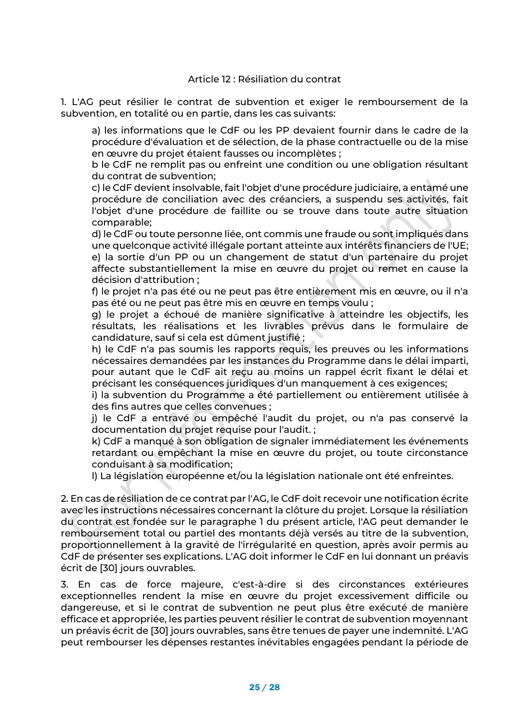1. L'AG peut résilier le contrat de subvention et exiger le remboursement de la subvention, en totalité ou en partie, dans les cas suivants:

a) les informations que le CdF ou les PP devaient fournir dans le cadre de la procédure d'évaluation et de sélection, de la phase contractuelle ou de la mise en œuvre du projet étaient fausses ou incomplètes ;

b le CdF ne remplit pas ou enfreint une condition ou une obligation résultant du contrat de subvention;

c) le CdF devient insolvable, fait l'objet d'une procédure judiciaire, a entamé une procédure de conciliation avec des créanciers, a suspendu ses activités, fait l'objet d'une procédure de faillite ou se trouve dans toute autre situation comparable;

d) le CdF ou toute personne liée, ont commis une fraude ou sont impliqués dans une quelconque activité illégale portant atteinte aux intérêts financiers de l'UE; e) la sortie d'un PP ou un changement de statut d'un partenaire du projet affecte substantiellement la mise en œuvre du projet ou remet en cause la décision d'attribution ;

f) le projet n'a pas été ou ne peut pas être entièrement mis en œuvre, ou il n'a pas été ou ne peut pas être mis en œuvre en temps voulu ;

g) le projet a échoué de manière significative à atteindre les objectifs, les résultats, les réalisations et les livrables prévus dans le formulaire de candidature, sauf si cela est dûment justifié ;

h) le CdF n'a pas soumis les rapports requis, les preuves ou les informations nécessaires demandées par les instances du Programme dans le délai imparti, pour autant que le CdF ait reçu au moins un rappel écrit fixant le délai et précisant les conséquences juridiques d'un manquement à ces exigences;

i) la subvention du Programme a été partiellement ou entièrement utilisée à des fins autres que celles convenues ;

j) le CdF a entravé ou empêché l'audit du projet, ou n'a pas conservé la documentation du projet requise pour l'audit. ;

k) CdF a manqué à son obligation de signaler immédiatement les événements retardant ou empêchant la mise en œuvre du projet, ou toute circonstance conduisant à sa modification;

l) La législation européenne et/ou la législation nationale ont été enfreintes.

2. En cas de résiliation de ce contrat par l'AG, le CdF doit recevoir une notification écrite avec les instructions nécessaires concernant la clôture du projet. Lorsque la résiliation du contrat est fondée sur le paragraphe 1 du présent article, l'AG peut demander le remboursement total ou partiel des montants déjà versés au titre de la subvention, proportionnellement à la gravité de l'irrégularité en question, après avoir permis au CdF de présenter ses explications. L'AG doit informer le CdF en lui donnant un préavis écrit de [30] jours ouvrables.

3. En cas de force majeure, c'est-à-dire si des circonstances extérieures exceptionnelles rendent la mise en œuvre du projet excessivement difficile ou dangereuse, et si le contrat de subvention ne peut plus être exécuté de manière efficace et appropriée, les parties peuvent résilier le contrat de subvention moyennant un préavis écrit de [30] jours ouvrables, sans être tenues de payer une indemnité. L'AG peut rembourser les dépenses restantes inévitables engagées pendant la période de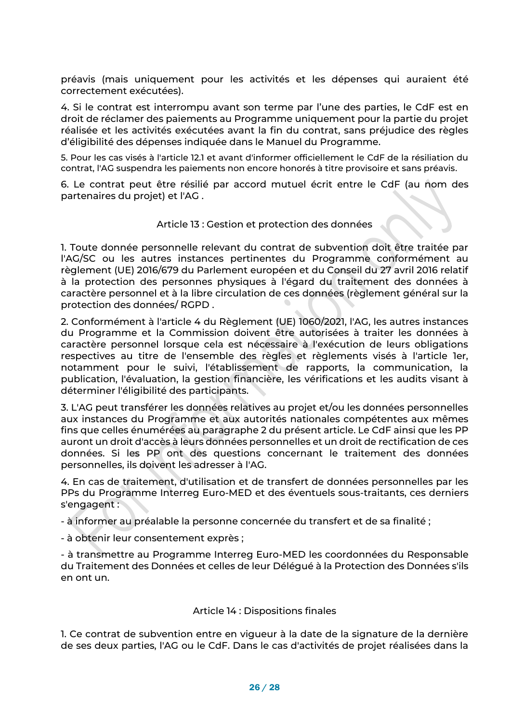préavis (mais uniquement pour les activités et les dépenses qui auraient été correctement exécutées).

4. Si le contrat est interrompu avant son terme par l'une des parties, le CdF est en droit de réclamer des paiements au Programme uniquement pour la partie du projet réalisée et les activités exécutées avant la fin du contrat, sans préjudice des règles d'éligibilité des dépenses indiquée dans le Manuel du Programme.

5. Pour les cas visés à l'article 12.1 et avant d'informer officiellement le CdF de la résiliation du contrat, l'AG suspendra les paiements non encore honorés à titre provisoire et sans préavis.

6. Le contrat peut être résilié par accord mutuel écrit entre le CdF (au nom des partenaires du projet) et l'AG .

#### Article 13 : Gestion et protection des données

1. Toute donnée personnelle relevant du contrat de subvention doit être traitée par l'AG/SC ou les autres instances pertinentes du Programme conformément au règlement (UE) 2016/679 du Parlement européen et du Conseil du 27 avril 2016 relatif à la protection des personnes physiques à l'égard du traitement des données à caractère personnel et à la libre circulation de ces données (règlement général sur la protection des données/ RGPD .

2. Conformément à l'article 4 du Règlement (UE) 1060/2021, l'AG, les autres instances du Programme et la Commission doivent être autorisées à traiter les données à caractère personnel lorsque cela est nécessaire à l'exécution de leurs obligations respectives au titre de l'ensemble des règles et règlements visés à l'article 1er, notamment pour le suivi, l'établissement de rapports, la communication, la publication, l'évaluation, la gestion financière, les vérifications et les audits visant à déterminer l'éligibilité des participants.

3. L'AG peut transférer les données relatives au projet et/ou les données personnelles aux instances du Programme et aux autorités nationales compétentes aux mêmes fins que celles énumérées au paragraphe 2 du présent article. Le CdF ainsi que les PP auront un droit d'accès à leurs données personnelles et un droit de rectification de ces données. Si les PP ont des questions concernant le traitement des données personnelles, ils doivent les adresser à l'AG.

4. En cas de traitement, d'utilisation et de transfert de données personnelles par les PPs du Programme Interreg Euro-MED et des éventuels sous-traitants, ces derniers s'engagent :

- à informer au préalable la personne concernée du transfert et de sa finalité ;

- à obtenir leur consentement exprès ;

- à transmettre au Programme Interreg Euro-MED les coordonnées du Responsable du Traitement des Données et celles de leur Délégué à la Protection des Données s'ils en ont un.

#### Article 14 : Dispositions finales

1. Ce contrat de subvention entre en vigueur à la date de la signature de la dernière de ses deux parties, l'AG ou le CdF. Dans le cas d'activités de projet réalisées dans la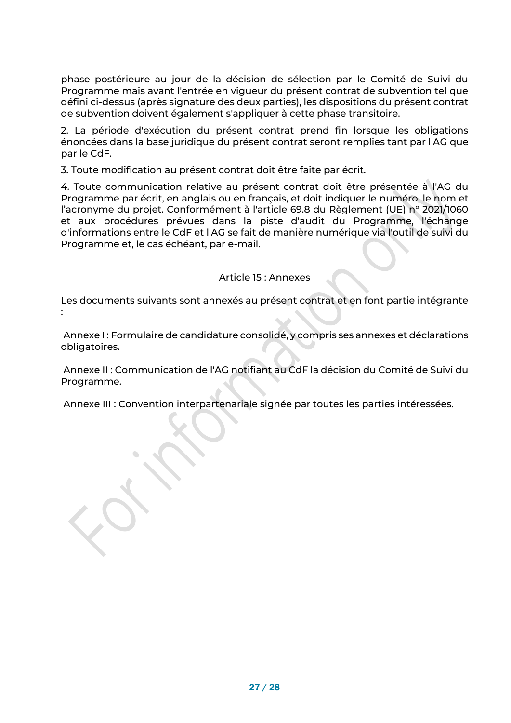phase postérieure au jour de la décision de sélection par le Comité de Suivi du Programme mais avant l'entrée en vigueur du présent contrat de subvention tel que défini ci-dessus (après signature des deux parties), les dispositions du présent contrat de subvention doivent également s'appliquer à cette phase transitoire.

2. La période d'exécution du présent contrat prend fin lorsque les obligations énoncées dans la base juridique du présent contrat seront remplies tant par l'AG que par le CdF.

3. Toute modification au présent contrat doit être faite par écrit.

4. Toute communication relative au présent contrat doit être présentée à l'AG du Programme par écrit, en anglais ou en français, et doit indiquer le numéro, le nom et l'acronyme du projet. Conformément à l'article 69.8 du Règlement (UE) n° 2021/1060 et aux procédures prévues dans la piste d'audit du Programme, l'échange d'informations entre le CdF et l'AG se fait de manière numérique via l'outil de suivi du Programme et, le cas échéant, par e-mail.

#### Article 15 : Annexes

Les documents suivants sont annexés au présent contrat et en font partie intégrante :

Annexe I : Formulaire de candidature consolidé, y compris ses annexes et déclarations obligatoires.

Annexe II : Communication de l'AG notifiant au CdF la décision du Comité de Suivi du Programme.

Annexe III : Convention interpartenariale signée par toutes les parties intéressées.